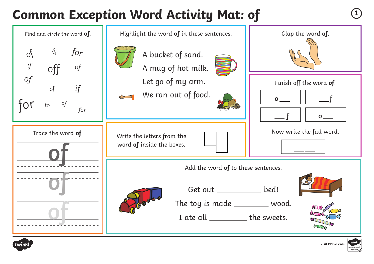# **Common Exception Word Activity Mat: of**







visit twinkl.com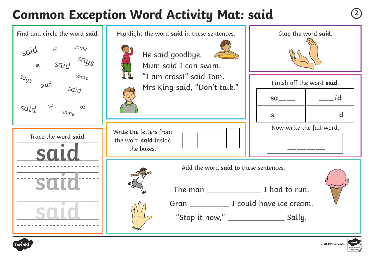# **Common Exception Word Activity Mat: said <sup>2</sup>**





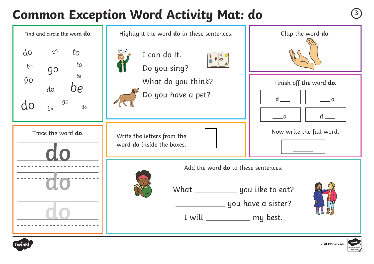### **Common Exception Word Activity Mat: do <sup>3</sup>**





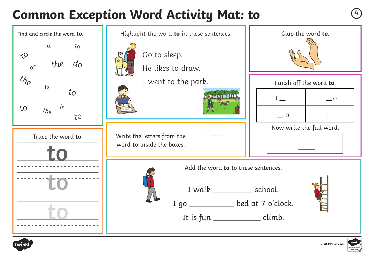# **Common Exception Word Activity Mat: to**